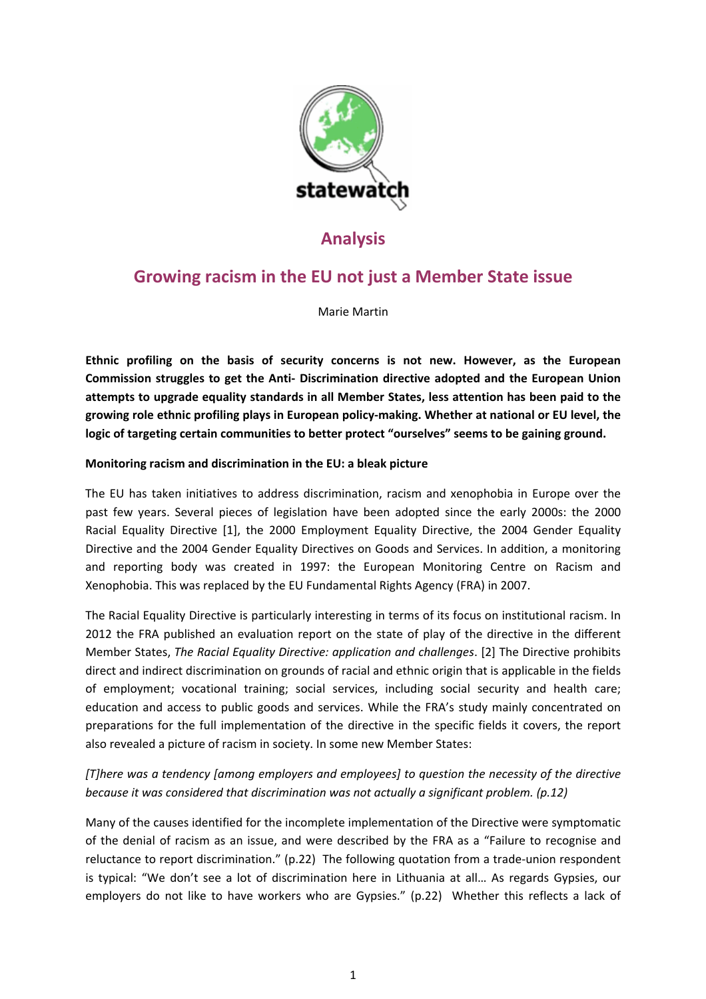

# **Analysis**

# **Growing racism in the EU not just a Member State issue**

Marie Martin

**Ethnic profiling on the basis of security concerns is not new. However, as the European Commission struggles to get the Anti‐ Discrimination directive adopted and the European Union attempts to upgrade equality standards in all Member States, less attention has been paid to the growing role ethnic profiling plays in European policy‐making. Whether at national or EU level, the logic of targeting certain communities to better protect "ourselves" seems to be gaining ground.**

## **Monitoring racism and discrimination in the EU: a bleak picture**

The EU has taken initiatives to address discrimination, racism and xenophobia in Europe over the past few years. Several pieces of legislation have been adopted since the early 2000s: the 2000 Racial Equality Directive [1], the 2000 Employment Equality Directive, the 2004 Gender Equality Directive and the 2004 Gender Equality Directives on Goods and Services. In addition, a monitoring and reporting body was created in 1997: the European Monitoring Centre on Racism and Xenophobia. This was replaced by the EU Fundamental Rights Agency (FRA) in 2007.

The Racial Equality Directive is particularly interesting in terms of its focus on institutional racism. In 2012 the FRA published an evaluation report on the state of play of the directive in the different Member States, *The Racial Equality Directive: application and challenges*. [2] The Directive prohibits direct and indirect discrimination on grounds of racial and ethnic origin that is applicable in the fields of employment; vocational training; social services, including social security and health care; education and access to public goods and services. While the FRA's study mainly concentrated on preparations for the full implementation of the directive in the specific fields it covers, the report also revealed a picture of racism in society. In some new Member States:

## *[T]here was a tendency [among employers and employees] to question the necessity of the directive because it was considered that discrimination was not actually a significant problem. (p.12)*

Many of the causes identified for the incomplete implementation of the Directive were symptomatic of the denial of racism as an issue, and were described by the FRA as a "Failure to recognise and reluctance to report discrimination." (p.22) The following quotation from a trade‐union respondent is typical: "We don't see a lot of discrimination here in Lithuania at all… As regards Gypsies, our employers do not like to have workers who are Gypsies." (p.22) Whether this reflects a lack of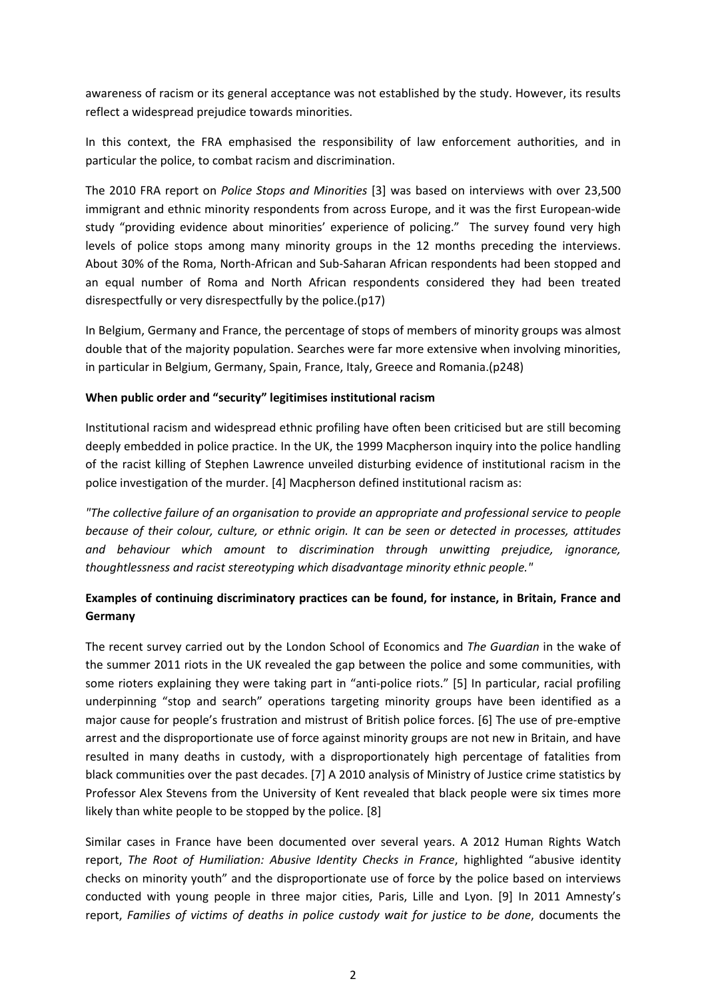awareness of racism or its general acceptance was not established by the study. However, its results reflect a widespread prejudice towards minorities.

In this context, the FRA emphasised the responsibility of law enforcement authorities, and in particular the police, to combat racism and discrimination.

The 2010 FRA report on *Police Stops and Minorities* [3] was based on interviews with over 23,500 immigrant and ethnic minority respondents from across Europe, and it was the first European‐wide study "providing evidence about minorities' experience of policing." The survey found very high levels of police stops among many minority groups in the 12 months preceding the interviews. About 30% of the Roma, North‐African and Sub‐Saharan African respondents had been stopped and an equal number of Roma and North African respondents considered they had been treated disrespectfully or very disrespectfully by the police.(p17)

In Belgium, Germany and France, the percentage of stops of members of minority groups was almost double that of the majority population. Searches were far more extensive when involving minorities, in particular in Belgium, Germany, Spain, France, Italy, Greece and Romania.(p248)

### **When public order and "security" legitimises institutional racism**

Institutional racism and widespread ethnic profiling have often been criticised but are still becoming deeply embedded in police practice. In the UK, the 1999 Macpherson inquiry into the police handling of the racist killing of Stephen Lawrence unveiled disturbing evidence of institutional racism in the police investigation of the murder. [4] Macpherson defined institutional racism as:

*"The collective failure of an organisation to provide an appropriate and professional service to people because of their colour, culture, or ethnic origin. It can be seen or detected in processes, attitudes and behaviour which amount to discrimination through unwitting prejudice, ignorance, thoughtlessness and racist stereotyping which disadvantage minority ethnic people."*

## **Examples of continuing discriminatory practices can be found, for instance, in Britain, France and Germany**

The recent survey carried out by the London School of Economics and *The Guardian* in the wake of the summer 2011 riots in the UK revealed the gap between the police and some communities, with some rioters explaining they were taking part in "anti-police riots." [5] In particular, racial profiling underpinning "stop and search" operations targeting minority groups have been identified as a major cause for people's frustration and mistrust of British police forces. [6] The use of pre-emptive arrest and the disproportionate use of force against minority groups are not new in Britain, and have resulted in many deaths in custody, with a disproportionately high percentage of fatalities from black communities over the past decades. [7] A 2010 analysis of Ministry of Justice crime statistics by Professor Alex Stevens from the University of Kent revealed that black people were six times more likely than white people to be stopped by the police. [8]

Similar cases in France have been documented over several years. A 2012 Human Rights Watch report, *The Root of Humiliation: Abusive Identity Checks in France*, highlighted "abusive identity checks on minority youth" and the disproportionate use of force by the police based on interviews conducted with young people in three major cities, Paris, Lille and Lyon. [9] In 2011 Amnesty's report, *Families of victims of deaths in police custody wait for justice to be done*, documents the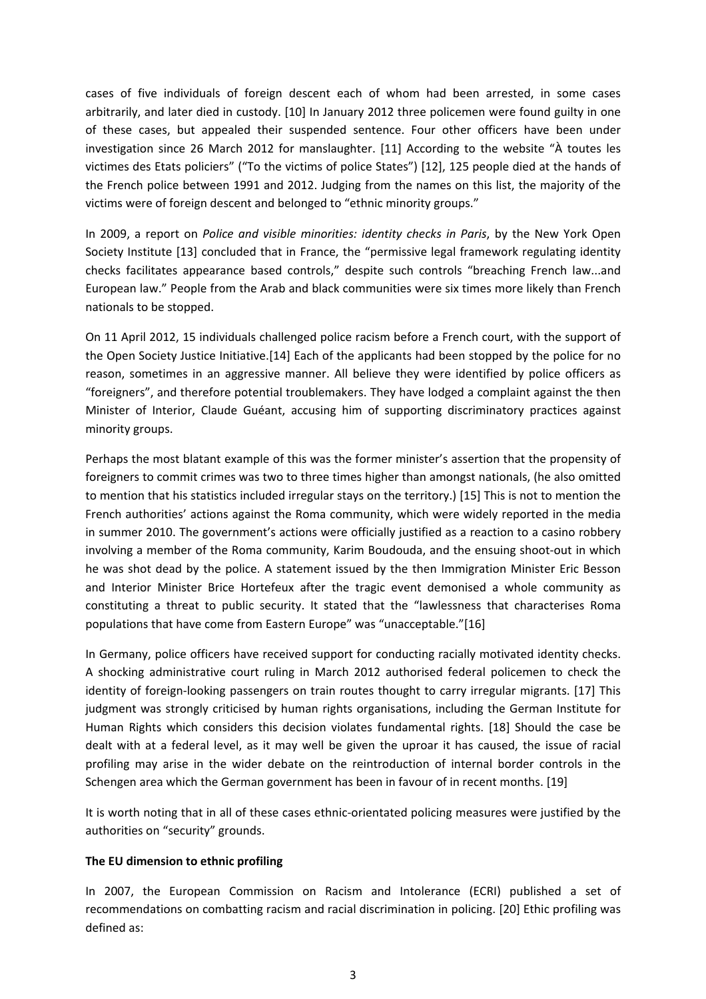cases of five individuals of foreign descent each of whom had been arrested, in some cases arbitrarily, and later died in custody. [10] In January 2012 three policemen were found guilty in one of these cases, but appealed their suspended sentence. Four other officers have been under investigation since 26 March 2012 for manslaughter. [11] According to the website "À toutes les victimes des Etats policiers" ("To the victims of police States") [12], 125 people died at the hands of the French police between 1991 and 2012. Judging from the names on this list, the majority of the victims were of foreign descent and belonged to "ethnic minority groups."

In 2009, a report on *Police and visible minorities: identity checks in Paris*, by the New York Open Society Institute [13] concluded that in France, the "permissive legal framework regulating identity checks facilitates appearance based controls," despite such controls "breaching French law...and European law." People from the Arab and black communities were six times more likely than French nationals to be stopped.

On 11 April 2012, 15 individuals challenged police racism before a French court, with the support of the Open Society Justice Initiative.[14] Each of the applicants had been stopped by the police for no reason, sometimes in an aggressive manner. All believe they were identified by police officers as "foreigners", and therefore potential troublemakers. They have lodged a complaint against the then Minister of Interior, Claude Guéant, accusing him of supporting discriminatory practices against minority groups.

Perhaps the most blatant example of this was the former minister's assertion that the propensity of foreigners to commit crimes was two to three times higher than amongst nationals, (he also omitted to mention that his statistics included irregular stays on the territory.) [15] This is not to mention the French authorities' actions against the Roma community, which were widely reported in the media in summer 2010. The government's actions were officially justified as a reaction to a casino robbery involving a member of the Roma community, Karim Boudouda, and the ensuing shoot‐out in which he was shot dead by the police. A statement issued by the then Immigration Minister Eric Besson and Interior Minister Brice Hortefeux after the tragic event demonised a whole community as constituting a threat to public security. It stated that the "lawlessness that characterises Roma populations that have come from Eastern Europe" was "unacceptable."[16]

In Germany, police officers have received support for conducting racially motivated identity checks. A shocking administrative court ruling in March 2012 authorised federal policemen to check the identity of foreign-looking passengers on train routes thought to carry irregular migrants. [17] This judgment was strongly criticised by human rights organisations, including the German Institute for Human Rights which considers this decision violates fundamental rights. [18] Should the case be dealt with at a federal level, as it may well be given the uproar it has caused, the issue of racial profiling may arise in the wider debate on the reintroduction of internal border controls in the Schengen area which the German government has been in favour of in recent months. [19]

It is worth noting that in all of these cases ethnic‐orientated policing measures were justified by the authorities on "security" grounds.

#### **The EU dimension to ethnic profiling**

In 2007, the European Commission on Racism and Intolerance (ECRI) published a set of recommendations on combatting racism and racial discrimination in policing. [20] Ethic profiling was defined as: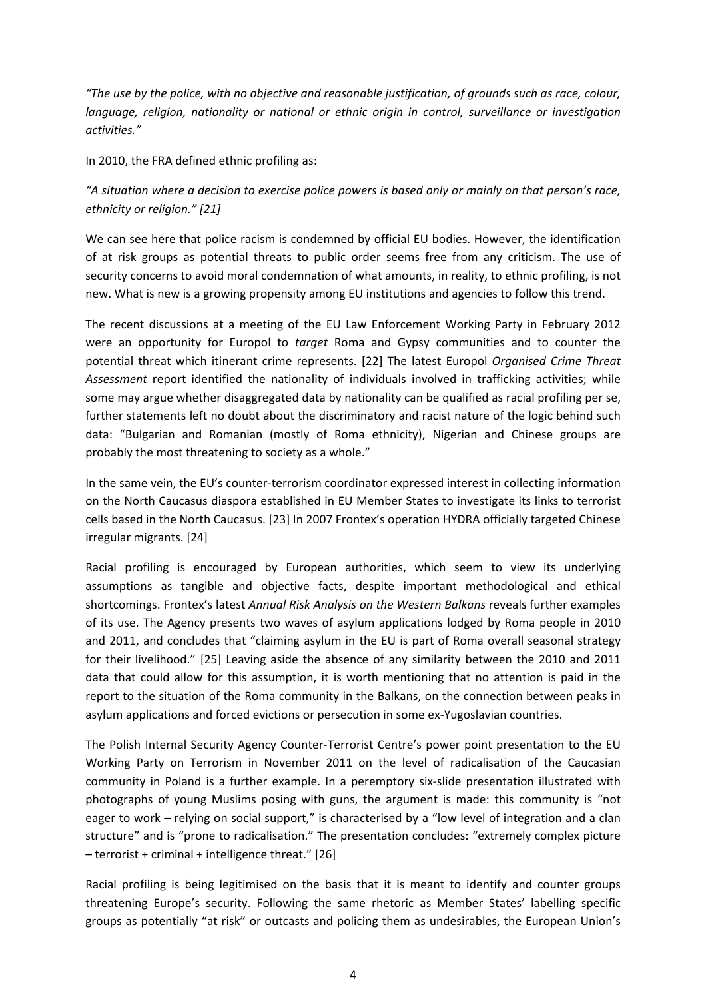*"The use by the police, with no objective and reasonable justification, of grounds such as race, colour, language, religion, nationality or national or ethnic origin in control, surveillance or investigation activities."*

In 2010, the FRA defined ethnic profiling as:

## "A situation where a decision to exercise police powers is based only or mainly on that person's race, *ethnicity or religion." [21]*

We can see here that police racism is condemned by official EU bodies. However, the identification of at risk groups as potential threats to public order seems free from any criticism. The use of security concerns to avoid moral condemnation of what amounts, in reality, to ethnic profiling, is not new. What is new is a growing propensity among EU institutions and agencies to follow this trend.

The recent discussions at a meeting of the EU Law Enforcement Working Party in February 2012 were an opportunity for Europol to *target* Roma and Gypsy communities and to counter the potential threat which itinerant crime represents. [22] The latest Europol *Organised Crime Threat Assessment* report identified the nationality of individuals involved in trafficking activities; while some may argue whether disaggregated data by nationality can be qualified as racial profiling per se, further statements left no doubt about the discriminatory and racist nature of the logic behind such data: "Bulgarian and Romanian (mostly of Roma ethnicity), Nigerian and Chinese groups are probably the most threatening to society as a whole."

In the same vein, the EU's counter-terrorism coordinator expressed interest in collecting information on the North Caucasus diaspora established in EU Member States to investigate its links to terrorist cells based in the North Caucasus. [23] In 2007 Frontex's operation HYDRA officially targeted Chinese irregular migrants. [24]

Racial profiling is encouraged by European authorities, which seem to view its underlying assumptions as tangible and objective facts, despite important methodological and ethical shortcomings. Frontex's latest *Annual Risk Analysis on the Western Balkans* reveals further examples of its use. The Agency presents two waves of asylum applications lodged by Roma people in 2010 and 2011, and concludes that "claiming asylum in the EU is part of Roma overall seasonal strategy for their livelihood." [25] Leaving aside the absence of any similarity between the 2010 and 2011 data that could allow for this assumption, it is worth mentioning that no attention is paid in the report to the situation of the Roma community in the Balkans, on the connection between peaks in asylum applications and forced evictions or persecution in some ex‐Yugoslavian countries.

The Polish Internal Security Agency Counter‐Terrorist Centre's power point presentation to the EU Working Party on Terrorism in November 2011 on the level of radicalisation of the Caucasian community in Poland is a further example. In a peremptory six‐slide presentation illustrated with photographs of young Muslims posing with guns, the argument is made: this community is "not eager to work – relying on social support," is characterised by a "low level of integration and a clan structure" and is "prone to radicalisation." The presentation concludes: "extremely complex picture – terrorist + criminal + intelligence threat." [26]

Racial profiling is being legitimised on the basis that it is meant to identify and counter groups threatening Europe's security. Following the same rhetoric as Member States' labelling specific groups as potentially "at risk" or outcasts and policing them as undesirables, the European Union's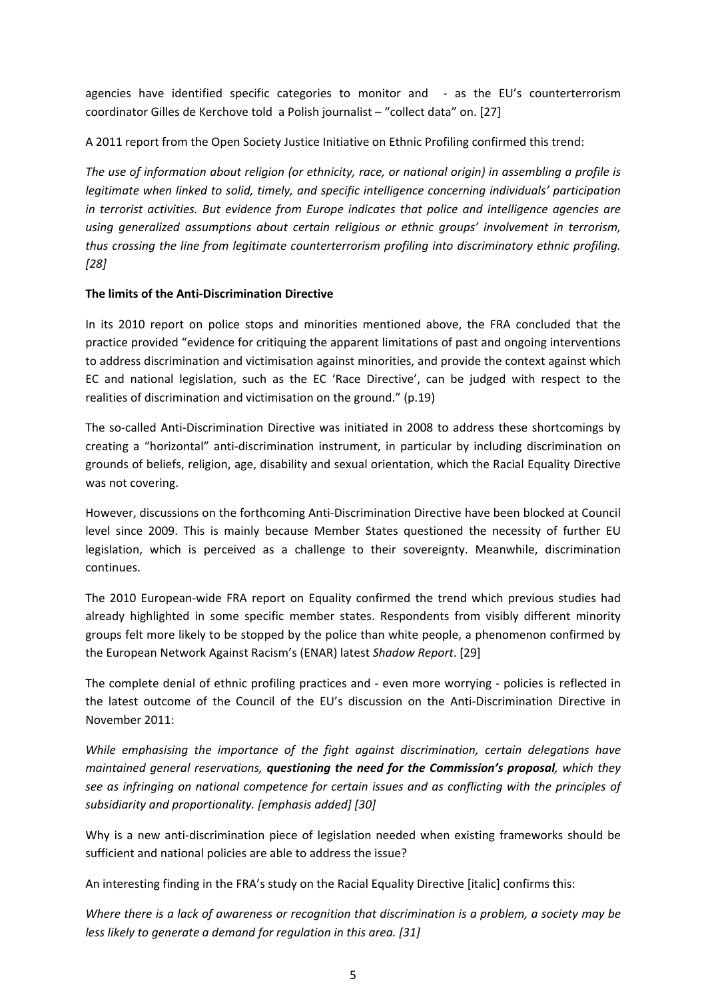agencies have identified specific categories to monitor and - as the EU's counterterrorism coordinator Gilles de Kerchove told a Polish journalist – "collect data" on. [27]

A 2011 report from the Open Society Justice Initiative on Ethnic Profiling confirmed this trend:

*The use of information about religion (or ethnicity, race, or national origin) in assembling a profile is legitimate when linked to solid, timely, and specific intelligence concerning individuals' participation in terrorist activities. But evidence from Europe indicates that police and intelligence agencies are using generalized assumptions about certain religious or ethnic groups' involvement in terrorism, thus crossing the line from legitimate counterterrorism profiling into discriminatory ethnic profiling. [28]*

### **The limits of the Anti‐Discrimination Directive**

In its 2010 report on police stops and minorities mentioned above, the FRA concluded that the practice provided "evidence for critiquing the apparent limitations of past and ongoing interventions to address discrimination and victimisation against minorities, and provide the context against which EC and national legislation, such as the EC 'Race Directive', can be judged with respect to the realities of discrimination and victimisation on the ground." (p.19)

The so-called Anti-Discrimination Directive was initiated in 2008 to address these shortcomings by creating a "horizontal" anti‐discrimination instrument, in particular by including discrimination on grounds of beliefs, religion, age, disability and sexual orientation, which the Racial Equality Directive was not covering.

However, discussions on the forthcoming Anti‐Discrimination Directive have been blocked at Council level since 2009. This is mainly because Member States questioned the necessity of further EU legislation, which is perceived as a challenge to their sovereignty. Meanwhile, discrimination continues.

The 2010 European‐wide FRA report on Equality confirmed the trend which previous studies had already highlighted in some specific member states. Respondents from visibly different minority groups felt more likely to be stopped by the police than white people, a phenomenon confirmed by the European Network Against Racism's (ENAR) latest *Shadow Report*. [29]

The complete denial of ethnic profiling practices and ‐ even more worrying ‐ policies is reflected in the latest outcome of the Council of the EU's discussion on the Anti‐Discrimination Directive in November 2011:

*While emphasising the importance of the fight against discrimination, certain delegations have maintained general reservations, questioning the need for the Commission's proposal, which they see as infringing on national competence for certain issues and as conflicting with the principles of subsidiarity and proportionality. [emphasis added] [30]* 

Why is a new anti-discrimination piece of legislation needed when existing frameworks should be sufficient and national policies are able to address the issue?

An interesting finding in the FRA's study on the Racial Equality Directive [italic] confirms this:

Where there is a lack of awareness or recognition that discrimination is a problem, a society may be *less likely to generate a demand for regulation in this area. [31]*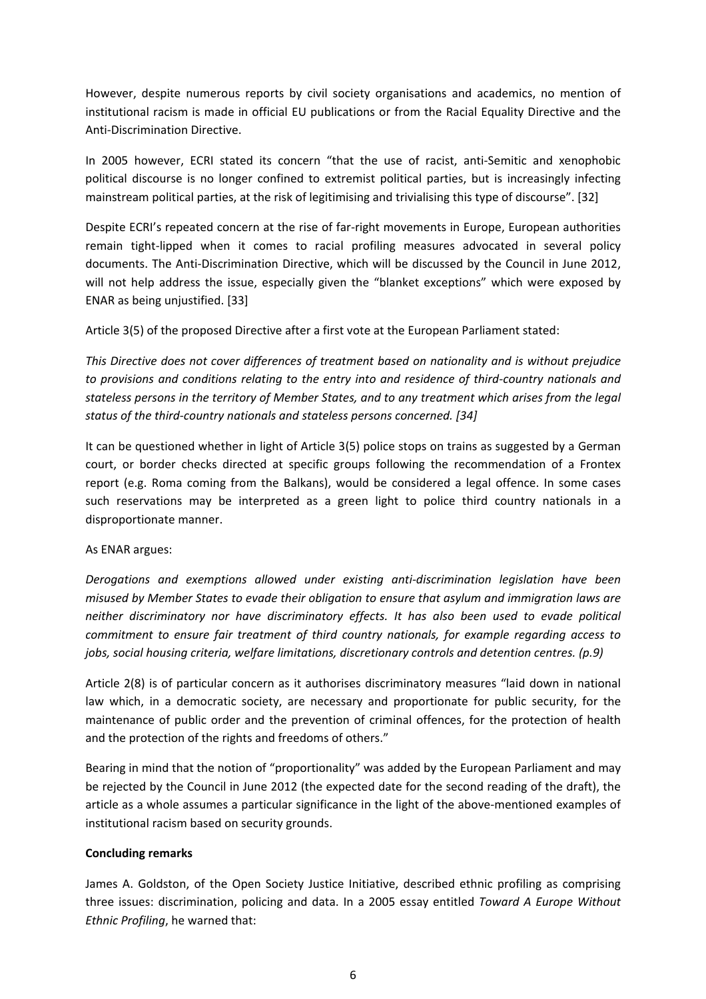However, despite numerous reports by civil society organisations and academics, no mention of institutional racism is made in official EU publications or from the Racial Equality Directive and the Anti‐Discrimination Directive.

In 2005 however, ECRI stated its concern "that the use of racist, anti-Semitic and xenophobic political discourse is no longer confined to extremist political parties, but is increasingly infecting mainstream political parties, at the risk of legitimising and trivialising this type of discourse". [32]

Despite ECRI's repeated concern at the rise of far-right movements in Europe, European authorities remain tight‐lipped when it comes to racial profiling measures advocated in several policy documents. The Anti‐Discrimination Directive, which will be discussed by the Council in June 2012, will not help address the issue, especially given the "blanket exceptions" which were exposed by ENAR as being unjustified. [33]

Article 3(5) of the proposed Directive after a first vote at the European Parliament stated:

*This Directive does not cover differences of treatment based on nationality and is without prejudice to provisions and conditions relating to the entry into and residence of third‐country nationals and stateless persons in the territory of Member States, and to any treatment which arises from the legal status of the third‐country nationals and stateless persons concerned. [34]*

It can be questioned whether in light of Article 3(5) police stops on trains as suggested by a German court, or border checks directed at specific groups following the recommendation of a Frontex report (e.g. Roma coming from the Balkans), would be considered a legal offence. In some cases such reservations may be interpreted as a green light to police third country nationals in a disproportionate manner.

#### As ENAR argues:

*Derogations and exemptions allowed under existing anti‐discrimination legislation have been misused by Member States to evade their obligation to ensure that asylum and immigration laws are neither discriminatory nor have discriminatory effects. It has also been used to evade political commitment to ensure fair treatment of third country nationals, for example regarding access to jobs, social housing criteria, welfare limitations, discretionary controls and detention centres. (p.9)* 

Article 2(8) is of particular concern as it authorises discriminatory measures "laid down in national law which, in a democratic society, are necessary and proportionate for public security, for the maintenance of public order and the prevention of criminal offences, for the protection of health and the protection of the rights and freedoms of others."

Bearing in mind that the notion of "proportionality" was added by the European Parliament and may be rejected by the Council in June 2012 (the expected date for the second reading of the draft), the article as a whole assumes a particular significance in the light of the above-mentioned examples of institutional racism based on security grounds.

#### **Concluding remarks**

James A. Goldston, of the Open Society Justice Initiative, described ethnic profiling as comprising three issues: discrimination, policing and data. In a 2005 essay entitled *Toward A Europe Without Ethnic Profiling*, he warned that: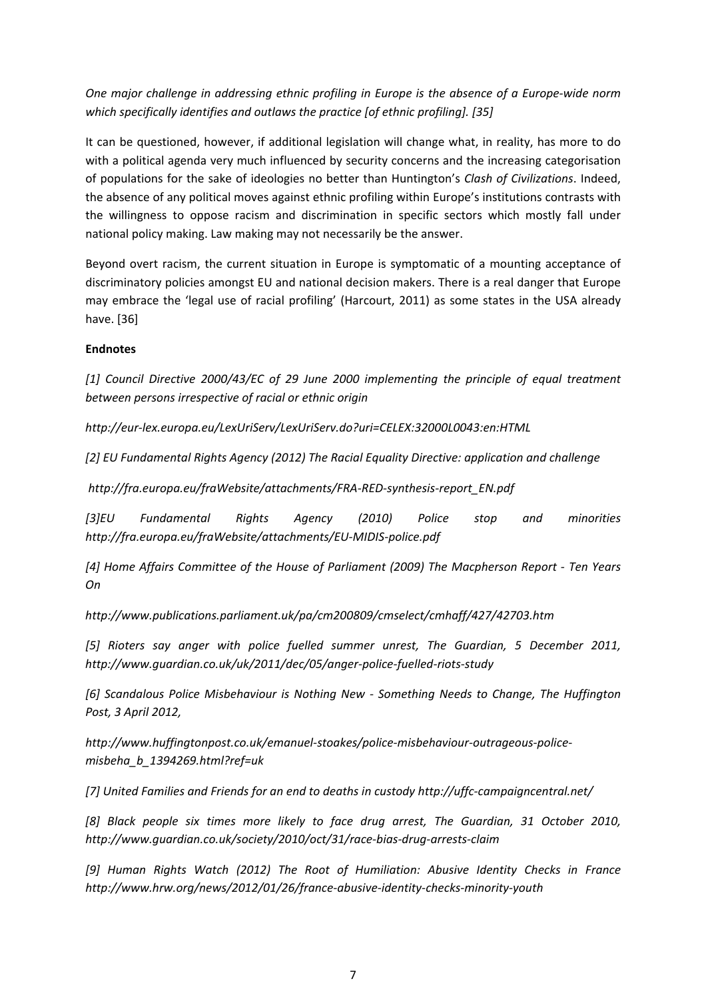*One major challenge in addressing ethnic profiling in Europe is the absence of a Europe‐wide norm which specifically identifies and outlaws the practice [of ethnic profiling]. [35]*

It can be questioned, however, if additional legislation will change what, in reality, has more to do with a political agenda very much influenced by security concerns and the increasing categorisation of populations for the sake of ideologies no better than Huntington's *Clash of Civilizations*. Indeed, the absence of any political moves against ethnic profiling within Europe's institutions contrasts with the willingness to oppose racism and discrimination in specific sectors which mostly fall under national policy making. Law making may not necessarily be the answer.

Beyond overt racism, the current situation in Europe is symptomatic of a mounting acceptance of discriminatory policies amongst EU and national decision makers. There is a real danger that Europe may embrace the 'legal use of racial profiling' (Harcourt, 2011) as some states in the USA already have. [36]

## **Endnotes**

*[1] Council Directive 2000/43/EC of 29 June 2000 implementing the principle of equal treatment between persons irrespective of racial or ethnic origin*

*http://eur‐lex.europa.eu/LexUriServ/LexUriServ.do?uri=CELEX:32000L0043:en:HTML* 

*[2] EU Fundamental Rights Agency (2012) The Racial Equality Directive: application and challenge*

*http://fra.europa.eu/fraWebsite/attachments/FRA‐RED‐synthesis‐report\_EN.pdf* 

*[3]EU Fundamental Rights Agency (2010) Police stop and minorities http://fra.europa.eu/fraWebsite/attachments/EU‐MIDIS‐police.pdf* 

*[4] Home Affairs Committee of the House of Parliament (2009) The Macpherson Report ‐ Ten Years On*

*http://www.publications.parliament.uk/pa/cm200809/cmselect/cmhaff/427/42703.htm* 

*[5] Rioters say anger with police fuelled summer unrest, The Guardian, 5 December 2011, http://www.guardian.co.uk/uk/2011/dec/05/anger‐police‐fuelled‐riots‐study* 

*[6] Scandalous Police Misbehaviour is Nothing New ‐ Something Needs to Change, The Huffington Post, 3 April 2012,*

*http://www.huffingtonpost.co.uk/emanuel‐stoakes/police‐misbehaviour‐outrageous‐police‐ misbeha\_b\_1394269.html?ref=uk* 

*[7] United Families and Friends for an end to deaths in custody http://uffc‐campaigncentral.net/* 

*[8] Black people six times more likely to face drug arrest, The Guardian, 31 October 2010, http://www.guardian.co.uk/society/2010/oct/31/race‐bias‐drug‐arrests‐claim* 

*[9] Human Rights Watch (2012) The Root of Humiliation: Abusive Identity Checks in France http://www.hrw.org/news/2012/01/26/france‐abusive‐identity‐checks‐minority‐youth*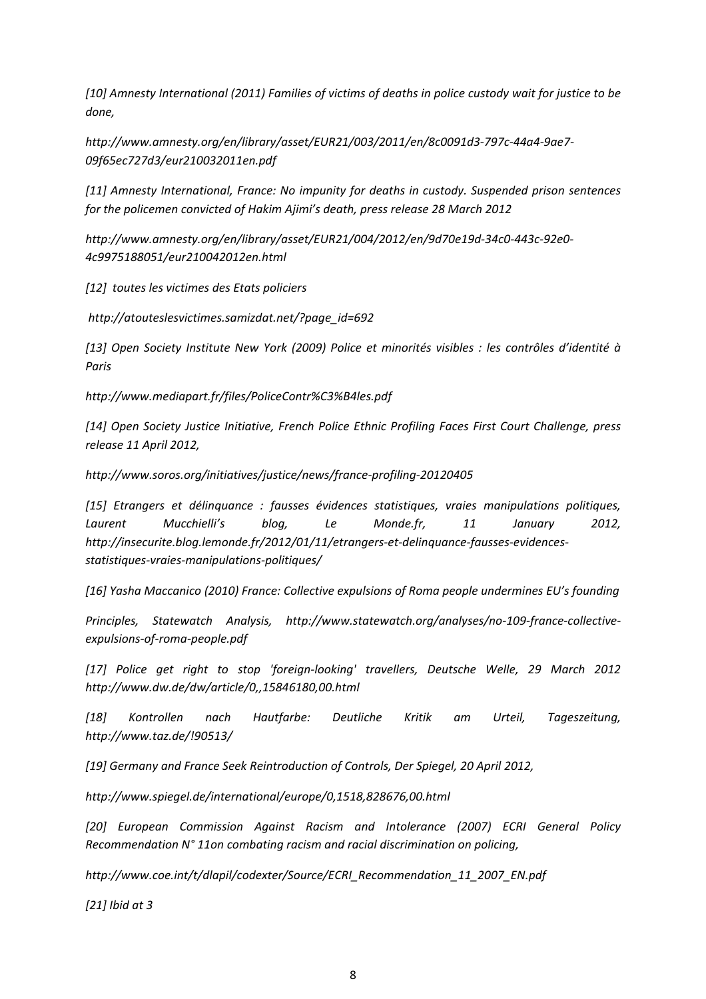*[10] Amnesty International (2011) Families of victims of deaths in police custody wait for justice to be done,*

*http://www.amnesty.org/en/library/asset/EUR21/003/2011/en/8c0091d3‐797c‐44a4‐9ae7‐ 09f65ec727d3/eur210032011en.pdf* 

*[11] Amnesty International, France: No impunity for deaths in custody. Suspended prison sentences for the policemen convicted of Hakim Ajimi's death, press release 28 March 2012*

*http://www.amnesty.org/en/library/asset/EUR21/004/2012/en/9d70e19d‐34c0‐443c‐92e0‐ 4c9975188051/eur210042012en.html* 

*[12] toutes les victimes des Etats policiers*

*http://atouteslesvictimes.samizdat.net/?page\_id=692* 

*[13] Open Society Institute New York (2009) Police et minorités visibles : les contrôles d'identité à Paris*

*http://www.mediapart.fr/files/PoliceContr%C3%B4les.pdf*

*[14] Open Society Justice Initiative, French Police Ethnic Profiling Faces First Court Challenge, press release 11 April 2012,*

*http://www.soros.org/initiatives/justice/news/france‐profiling‐20120405*

*[15] Etrangers et délinquance : fausses évidences statistiques, vraies manipulations politiques, Laurent Mucchielli's blog, Le Monde.fr, 11 January 2012, http://insecurite.blog.lemonde.fr/2012/01/11/etrangers‐et‐delinquance‐fausses‐evidences‐ statistiques‐vraies‐manipulations‐politiques/* 

*[16] Yasha Maccanico (2010) France: Collective expulsions of Roma people undermines EU's founding*

*Principles, Statewatch Analysis, http://www.statewatch.org/analyses/no‐109‐france‐collective‐ expulsions‐of‐roma‐people.pdf* 

*[17] Police get right to stop 'foreign‐looking' travellers, Deutsche Welle, 29 March 2012 http://www.dw.de/dw/article/0,,15846180,00.html* 

*[18] Kontrollen nach Hautfarbe: Deutliche Kritik am Urteil, Tageszeitung, http://www.taz.de/!90513/* 

*[19] Germany and France Seek Reintroduction of Controls, Der Spiegel, 20 April 2012,*

*http://www.spiegel.de/international/europe/0,1518,828676,00.html* 

*[20] European Commission Against Racism and Intolerance (2007) ECRI General Policy Recommendation N° 11on combating racism and racial discrimination on policing,*

*http://www.coe.int/t/dlapil/codexter/Source/ECRI\_Recommendation\_11\_2007\_EN.pdf* 

*[21] Ibid at 3*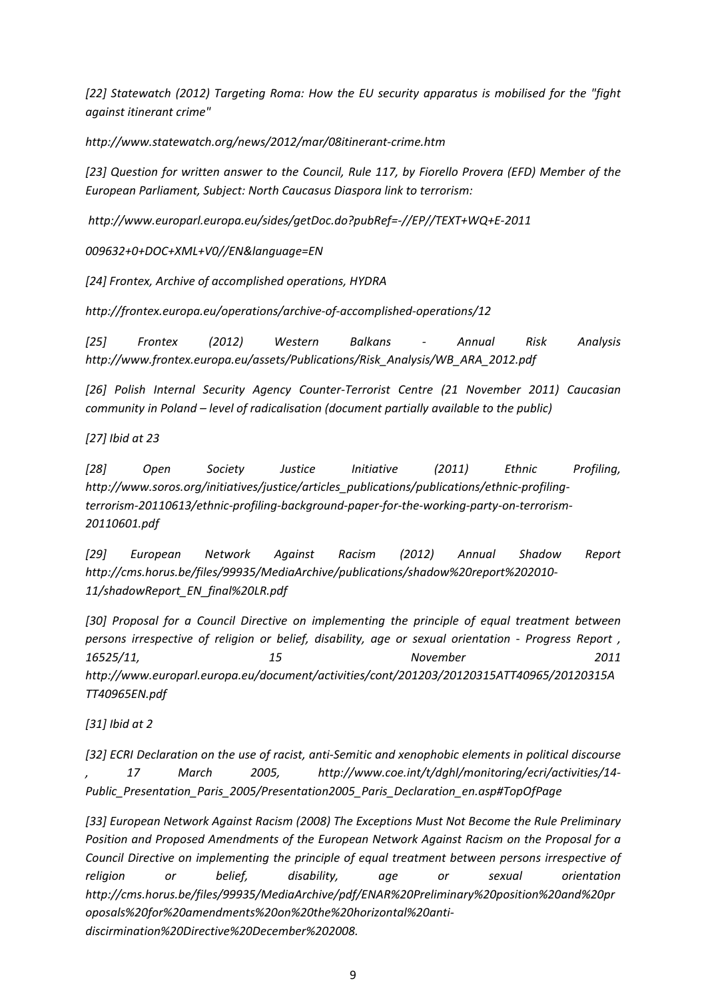*[22] Statewatch (2012) Targeting Roma: How the EU security apparatus is mobilised for the "fight against itinerant crime"*

*http://www.statewatch.org/news/2012/mar/08itinerant‐crime.htm* 

*[23] Question for written answer to the Council, Rule 117, by Fiorello Provera (EFD) Member of the European Parliament, Subject: North Caucasus Diaspora link to terrorism:*

*http://www.europarl.europa.eu/sides/getDoc.do?pubRef=‐//EP//TEXT+WQ+E‐2011*

*009632+0+DOC+XML+V0//EN&language=EN* 

*[24] Frontex, Archive of accomplished operations, HYDRA*

*http://frontex.europa.eu/operations/archive‐of‐accomplished‐operations/12* 

*[25] Frontex (2012) Western Balkans ‐ Annual Risk Analysis http://www.frontex.europa.eu/assets/Publications/Risk\_Analysis/WB\_ARA\_2012.pdf* 

*[26] Polish Internal Security Agency Counter‐Terrorist Centre (21 November 2011) Caucasian community in Poland – level of radicalisation (document partially available to the public)* 

*[27] Ibid at 23*

*[28] Open Society Justice Initiative (2011) Ethnic Profiling, http://www.soros.org/initiatives/justice/articles\_publications/publications/ethnic‐profiling‐* terrorism-20110613/ethnic-profiling-background-paper-for-the-working-party-on-terrorism-*20110601.pdf* 

*[29] European Network Against Racism (2012) Annual Shadow Report http://cms.horus.be/files/99935/MediaArchive/publications/shadow%20report%202010‐ 11/shadowReport\_EN\_final%20LR.pdf* 

*[30] Proposal for a Council Directive on implementing the principle of equal treatment between persons irrespective of religion or belief, disability, age or sexual orientation ‐ Progress Report , 16525/11, 15 November 2011 http://www.europarl.europa.eu/document/activities/cont/201203/20120315ATT40965/20120315A TT40965EN.pdf* 

*[31] Ibid at 2* 

*[32] ECRI Declaration on the use of racist, anti‐Semitic and xenophobic elements in political discourse , 17 March 2005, http://www.coe.int/t/dghl/monitoring/ecri/activities/14‐ Public\_Presentation\_Paris\_2005/Presentation2005\_Paris\_Declaration\_en.asp#TopOfPage* 

*[33] European Network Against Racism (2008) The Exceptions Must Not Become the Rule Preliminary Position and Proposed Amendments of the European Network Against Racism on the Proposal for a Council Directive on implementing the principle of equal treatment between persons irrespective of religion or belief, disability, age or sexual orientation http://cms.horus.be/files/99935/MediaArchive/pdf/ENAR%20Preliminary%20position%20and%20pr oposals%20for%20amendments%20on%20the%20horizontal%20anti‐ discirmination%20Directive%20December%202008.*